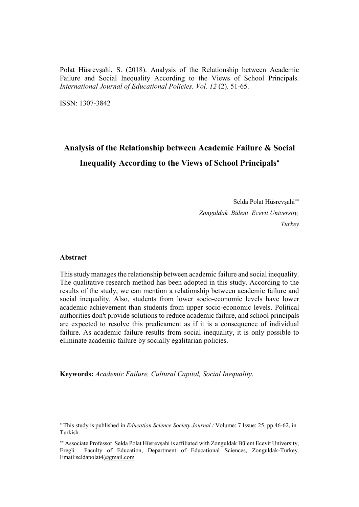Polat Hüsrevşahi, S. (2018). Analysis of the Relationship between Academic Failure and Social Inequality According to the Views of School Principals. *International Journal of Educational Policies. Vol. 12* (2). 51-65.

ISSN: 1307-3842

# **Analysis of the Relationship between Academic Failure & Social Inequality According to the Views of School Principals**

Selda Polat Hüsrevşahi\*\* *Zonguldak Bülent Ecevit University, Turkey*

# **Abstract**

 $\overline{a}$ 

This study manages the relationship between academic failure and social inequality. The qualitative research method has been adopted in this study. According to the results of the study, we can mention a relationship between academic failure and social inequality. Also, students from lower socio-economic levels have lower academic achievement than students from upper socio-economic levels. Political authorities don't provide solutions to reduce academic failure, and school principals are expected to resolve this predicament as if it is a consequence of individual failure. As academic failure results from social inequality, it is only possible to eliminate academic failure by socially egalitarian policies.

**Keywords:** *Academic Failure, Cultural Capital, Social Inequality.*

This study is published in *Education Science Society Journal /* Volume: 7 Issue: 25, pp.46-62, in Turkish.

Associate Professor Selda Polat Hüsrevşahi is affiliated with Zonguldak Bülent Ecevit University, Eregli Faculty of Education, Department of Educational Sciences, Zonguldak-Turkey. Email:seldapolat[4@gmail.com](mailto:h.yolcu72@gmail.com)**R**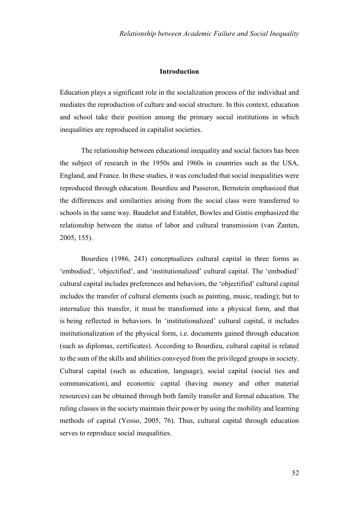# **Introduction**

Education plays a significant role in the socialization process of the individual and mediates the reproduction of culture and social structure. In this context, education and school take their position among the primary social institutions in which inequalities are reproduced in capitalist societies.

The relationship between educational inequality and social factors has been the subject of research in the 1950s and 1960s in countries such as the USA, England, and France. In these studies, it was concluded that social inequalities were reproduced through education. Bourdieu and Passeron, Bernstein emphasized that the differences and similarities arising from the social class were transferred to schools in the same way. Baudelot and Establet, Bowles and Gintis emphasized the relationship between the status of labor and cultural transmission (van Zanten, 2005, 155).

Bourdieu (1986, 243) conceptualizes cultural capital in three forms as 'embodied', 'objectified', and 'institutionalized' cultural capital. The 'embodied' cultural capital includes preferences and behaviors, the 'objectified' cultural capital includes the transfer of cultural elements (such as painting, music, reading); but to internalize this transfer, it must be transformed into a physical form, and that is being reflected in behaviors. In 'institutionalized' cultural capital, it includes institutionalization of the physical form, i.e. documents gained through education (such as diplomas, certificates). According to Bourdieu, cultural capital is related to the sum of the skills and abilities conveyed from the privileged groups in society. Cultural capital (such as education, language), social capital (social ties and communication), and economic capital (having money and other material resources) can be obtained through both family transfer and formal education. The ruling classes in the society maintain their power by using the mobility and learning methods of capital (Yosso, 2005, 76). Thus, cultural capital through education serves to reproduce social inequalities.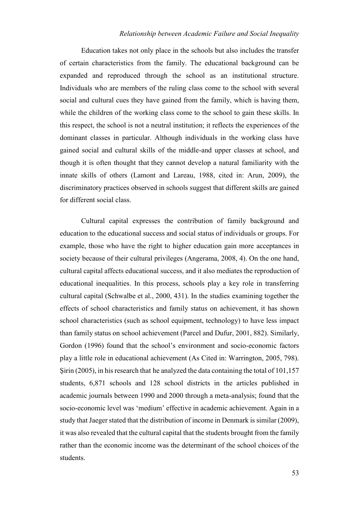Education takes not only place in the schools but also includes the transfer of certain characteristics from the family. The educational background can be expanded and reproduced through the school as an institutional structure. Individuals who are members of the ruling class come to the school with several social and cultural cues they have gained from the family, which is having them, while the children of the working class come to the school to gain these skills. In this respect, the school is not a neutral institution; it reflects the experiences of the dominant classes in particular. Although individuals in the working class have gained social and cultural skills of the middle-and upper classes at school, and though it is often thought that they cannot develop a natural familiarity with the innate skills of others (Lamont and Lareau, 1988, cited in: Arun, 2009), the discriminatory practices observed in schools suggest that different skills are gained for different social class.

Cultural capital expresses the contribution of family background and education to the educational success and social status of individuals or groups. For example, those who have the right to higher education gain more acceptances in society because of their cultural privileges (Angerama, 2008, 4). On the one hand, cultural capital affects educational success, and it also mediates the reproduction of educational inequalities. In this process, schools play a key role in transferring cultural capital (Schwalbe et al., 2000, 431). In the studies examining together the effects of school characteristics and family status on achievement, it has shown school characteristics (such as school equipment, technology) to have less impact than family status on school achievement (Parcel and Dufur, 2001, 882). Similarly, Gordon (1996) found that the school's environment and socio-economic factors play a little role in educational achievement (As Cited in: Warrington, 2005, 798). Şirin (2005), in his research that he analyzed the data containing the total of 101,157 students, 6,871 schools and 128 school districts in the articles published in academic journals between 1990 and 2000 through a meta-analysis; found that the socio-economic level was 'medium' effective in academic achievement. Again in a study that Jaeger stated that the distribution of income in Denmark is similar (2009), it was also revealed that the cultural capital that the students brought from the family rather than the economic income was the determinant of the school choices of the students.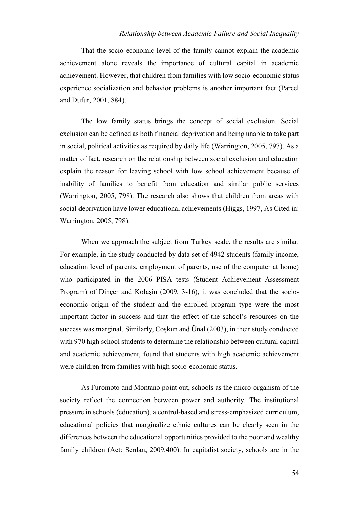That the socio-economic level of the family cannot explain the academic achievement alone reveals the importance of cultural capital in academic achievement. However, that children from families with low socio-economic status experience socialization and behavior problems is another important fact (Parcel and Dufur, 2001, 884).

The low family status brings the concept of social exclusion. Social exclusion can be defined as both financial deprivation and being unable to take part in social, political activities as required by daily life (Warrington, 2005, 797). As a matter of fact, research on the relationship between social exclusion and education explain the reason for leaving school with low school achievement because of inability of families to benefit from education and similar public services (Warrington, 2005, 798). The research also shows that children from areas with social deprivation have lower educational achievements (Higgs, 1997, As Cited in: Warrington, 2005, 798).

When we approach the subject from Turkey scale, the results are similar. For example, in the study conducted by data set of 4942 students (family income, education level of parents, employment of parents, use of the computer at home) who participated in the 2006 PISA tests (Student Achievement Assessment Program) of Dinçer and Kolaşin (2009, 3-16), it was concluded that the socioeconomic origin of the student and the enrolled program type were the most important factor in success and that the effect of the school's resources on the success was marginal. Similarly, Coşkun and Ünal (2003), in their study conducted with 970 high school students to determine the relationship between cultural capital and academic achievement, found that students with high academic achievement were children from families with high socio-economic status.

As Furomoto and Montano point out, schools as the micro-organism of the society reflect the connection between power and authority. The institutional pressure in schools (education), a control-based and stress-emphasized curriculum, educational policies that marginalize ethnic cultures can be clearly seen in the differences between the educational opportunities provided to the poor and wealthy family children (Act: Serdan, 2009,400). In capitalist society, schools are in the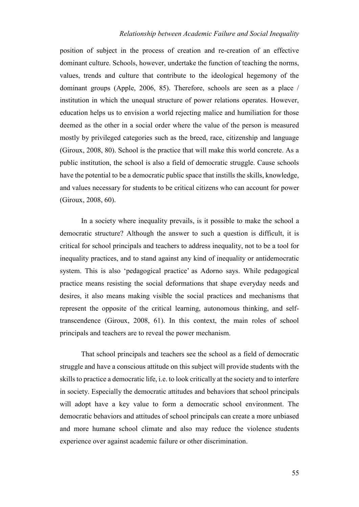position of subject in the process of creation and re-creation of an effective dominant culture. Schools, however, undertake the function of teaching the norms, values, trends and culture that contribute to the ideological hegemony of the dominant groups (Apple, 2006, 85). Therefore, schools are seen as a place / institution in which the unequal structure of power relations operates. However, education helps us to envision a world rejecting malice and humiliation for those deemed as the other in a social order where the value of the person is measured mostly by privileged categories such as the breed, race, citizenship and language (Giroux, 2008, 80). School is the practice that will make this world concrete. As a public institution, the school is also a field of democratic struggle. Cause schools have the potential to be a democratic public space that instills the skills, knowledge, and values necessary for students to be critical citizens who can account for power (Giroux, 2008, 60).

In a society where inequality prevails, is it possible to make the school a democratic structure? Although the answer to such a question is difficult, it is critical for school principals and teachers to address inequality, not to be a tool for inequality practices, and to stand against any kind of inequality or antidemocratic system. This is also 'pedagogical practice' as Adorno says. While pedagogical practice means resisting the social deformations that shape everyday needs and desires, it also means making visible the social practices and mechanisms that represent the opposite of the critical learning, autonomous thinking, and selftranscendence (Giroux, 2008, 61). In this context, the main roles of school principals and teachers are to reveal the power mechanism.

That school principals and teachers see the school as a field of democratic struggle and have a conscious attitude on this subject will provide students with the skills to practice a democratic life, i.e. to look critically at the society and to interfere in society. Especially the democratic attitudes and behaviors that school principals will adopt have a key value to form a democratic school environment. The democratic behaviors and attitudes of school principals can create a more unbiased and more humane school climate and also may reduce the violence students experience over against academic failure or other discrimination.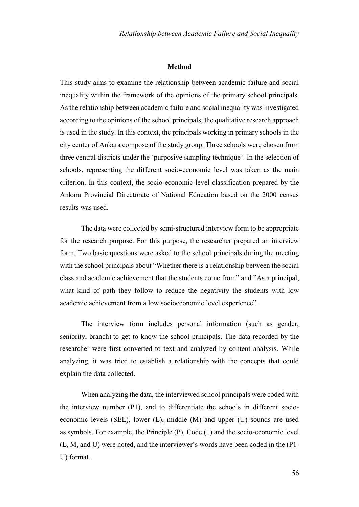#### **Method**

This study aims to examine the relationship between academic failure and social inequality within the framework of the opinions of the primary school principals. As the relationship between academic failure and social inequality was investigated according to the opinions of the school principals, the qualitative research approach is used in the study. In this context, the principals working in primary schools in the city center of Ankara compose of the study group. Three schools were chosen from three central districts under the 'purposive sampling technique'. In the selection of schools, representing the different socio-economic level was taken as the main criterion. In this context, the socio-economic level classification prepared by the Ankara Provincial Directorate of National Education based on the 2000 census results was used.

The data were collected by semi-structured interview form to be appropriate for the research purpose. For this purpose, the researcher prepared an interview form. Two basic questions were asked to the school principals during the meeting with the school principals about "Whether there is a relationship between the social class and academic achievement that the students come from" and "As a principal, what kind of path they follow to reduce the negativity the students with low academic achievement from a low socioeconomic level experience".

The interview form includes personal information (such as gender, seniority, branch) to get to know the school principals. The data recorded by the researcher were first converted to text and analyzed by content analysis. While analyzing, it was tried to establish a relationship with the concepts that could explain the data collected.

When analyzing the data, the interviewed school principals were coded with the interview number (P1), and to differentiate the schools in different socioeconomic levels (SEL), lower (L), middle (M) and upper (U) sounds are used as symbols. For example, the Principle (P), Code (1) and the socio-economic level (L, M, and U) were noted, and the interviewer's words have been coded in the (P1- U) format.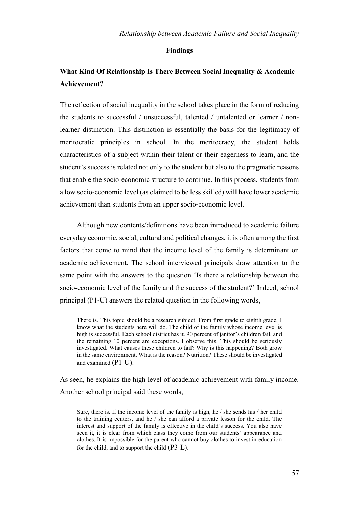# **Findings**

# **What Kind Of Relationship Is There Between Social Inequality & Academic Achievement?**

The reflection of social inequality in the school takes place in the form of reducing the students to successful / unsuccessful, talented / untalented or learner / nonlearner distinction. This distinction is essentially the basis for the legitimacy of meritocratic principles in school. In the meritocracy, the student holds characteristics of a subject within their talent or their eagerness to learn, and the student's success is related not only to the student but also to the pragmatic reasons that enable the socio-economic structure to continue. In this process, students from a low socio-economic level (as claimed to be less skilled) will have lower academic achievement than students from an upper socio-economic level.

Although new contents/definitions have been introduced to academic failure everyday economic, social, cultural and political changes, it is often among the first factors that come to mind that the income level of the family is determinant on academic achievement. The school interviewed principals draw attention to the same point with the answers to the question 'Is there a relationship between the socio-economic level of the family and the success of the student?' Indeed, school principal (P1-U) answers the related question in the following words,

There is. This topic should be a research subject. From first grade to eighth grade, I know what the students here will do. The child of the family whose income level is high is successful. Each school district has it. 90 percent of janitor's children fail, and the remaining 10 percent are exceptions. I observe this. This should be seriously investigated. What causes these children to fail? Why is this happening? Both grow in the same environment. What is the reason? Nutrition? These should be investigated and examined (P1-U).

As seen, he explains the high level of academic achievement with family income. Another school principal said these words,

Sure, there is. If the income level of the family is high, he / she sends his / her child to the training centers, and he / she can afford a private lesson for the child. The interest and support of the family is effective in the child's success. You also have seen it, it is clear from which class they come from our students' appearance and clothes. It is impossible for the parent who cannot buy clothes to invest in education for the child, and to support the child (P3-L).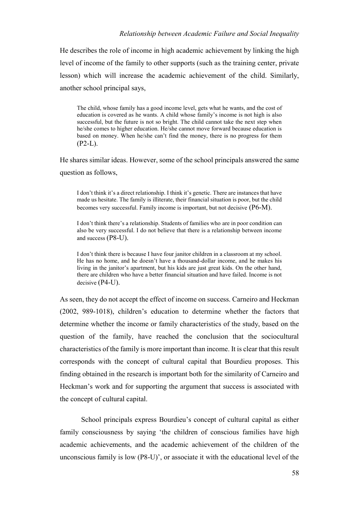He describes the role of income in high academic achievement by linking the high level of income of the family to other supports (such as the training center, private lesson) which will increase the academic achievement of the child. Similarly, another school principal says,

The child, whose family has a good income level, gets what he wants, and the cost of education is covered as he wants. A child whose family's income is not high is also successful, but the future is not so bright. The child cannot take the next step when he/she comes to higher education. He/she cannot move forward because education is based on money. When he/she can't find the money, there is no progress for them  $(P2-L)$ .

He shares similar ideas. However, some of the school principals answered the same question as follows,

I don't think it's a direct relationship. I think it's genetic. There are instances that have made us hesitate. The family is illiterate, their financial situation is poor, but the child becomes very successful. Family income is important, but not decisive (P6-M).

I don't think there's a relationship. Students of families who are in poor condition can also be very successful. I do not believe that there is a relationship between income and success (P8-U).

I don't think there is because I have four janitor children in a classroom at my school. He has no home, and he doesn't have a thousand-dollar income, and he makes his living in the janitor's apartment, but his kids are just great kids. On the other hand, there are children who have a better financial situation and have failed. Income is not decisive (P4-U).

As seen, they do not accept the effect of income on success. Carneiro and Heckman (2002, 989-1018), children's education to determine whether the factors that determine whether the income or family characteristics of the study, based on the question of the family, have reached the conclusion that the sociocultural characteristics of the family is more important than income. It is clear that this result corresponds with the concept of cultural capital that Bourdieu proposes. This finding obtained in the research is important both for the similarity of Carneiro and Heckman's work and for supporting the argument that success is associated with the concept of cultural capital.

School principals express Bourdieu's concept of cultural capital as either family consciousness by saying 'the children of conscious families have high academic achievements, and the academic achievement of the children of the unconscious family is low (P8-U)', or associate it with the educational level of the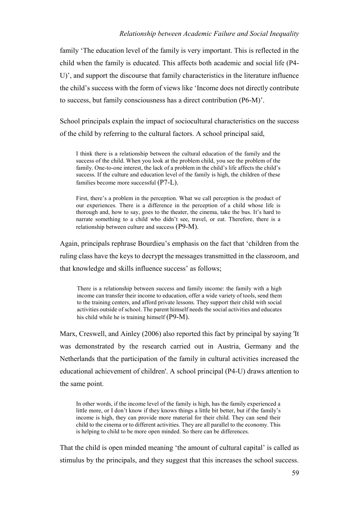family 'The education level of the family is very important. This is reflected in the child when the family is educated. This affects both academic and social life (P4- U)', and support the discourse that family characteristics in the literature influence the child's success with the form of views like 'Income does not directly contribute to success, but family consciousness has a direct contribution (P6-M)'.

School principals explain the impact of sociocultural characteristics on the success of the child by referring to the cultural factors. A school principal said,

I think there is a relationship between the cultural education of the family and the success of the child. When you look at the problem child, you see the problem of the family. One-to-one interest, the lack of a problem in the child's life affects the child's success. If the culture and education level of the family is high, the children of these families become more successful (P7-L).

First, there's a problem in the perception. What we call perception is the product of our experiences. There is a difference in the perception of a child whose life is thorough and, how to say, goes to the theater, the cinema, take the bus. It's hard to narrate something to a child who didn't see, travel, or eat. Therefore, there is a relationship between culture and success (P9-M).

Again, principals rephrase Bourdieu's emphasis on the fact that 'children from the ruling class have the keys to decrypt the messages transmitted in the classroom, and that knowledge and skills influence success' as follows;

There is a relationship between success and family income: the family with a high income can transfer their income to education, offer a wide variety of tools, send them to the training centers, and afford private lessons. They support their child with social activities outside of school. The parent himself needs the social activities and educates his child while he is training himself (P9-M).

Marx, Creswell, and Ainley (2006) also reported this fact by principal by saying 'It was demonstrated by the research carried out in Austria, Germany and the Netherlands that the participation of the family in cultural activities increased the educational achievement of children'. A school principal (P4-U) draws attention to the same point.

In other words, if the income level of the family is high, has the family experienced a little more, or I don't know if they knows things a little bit better, but if the family's income is high, they can provide more material for their child. They can send their child to the cinema or to different activities. They are all parallel to the economy. This is helping to child to be more open minded. So there can be differences.

That the child is open minded meaning 'the amount of cultural capital' is called as stimulus by the principals, and they suggest that this increases the school success.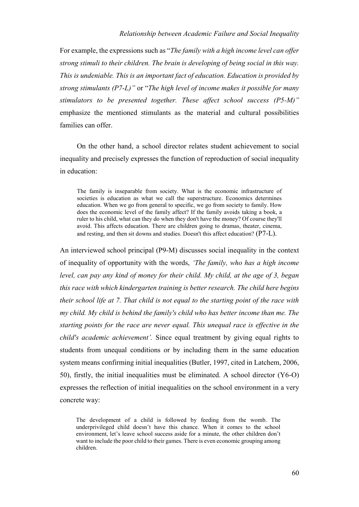For example, the expressions such as "*The family with a high income level can offer strong stimuli to their children. The brain is developing of being social in this way. This is undeniable. This is an important fact of education. Education is provided by strong stimulants (P7-L)"* or "*The high level of income makes it possible for many stimulators to be presented together. These affect school success (P5-M)"* emphasize the mentioned stimulants as the material and cultural possibilities families can offer.

On the other hand, a school director relates student achievement to social inequality and precisely expresses the function of reproduction of social inequality in education:

The family is inseparable from society. What is the economic infrastructure of societies is education as what we call the superstructure. Economics determines education. When we go from general to specific, we go from society to family. How does the economic level of the family affect? If the family avoids taking a book, a ruler to his child, what can they do when they don't have the money? Of course they'll avoid. This affects education. There are children going to dramas, theater, cinema, and resting, and then sit downs and studies. Doesn't this affect education? (P7-L).

An interviewed school principal (P9-M) discusses social inequality in the context of inequality of opportunity with the words, *'The family, who has a high income level, can pay any kind of money for their child. My child, at the age of 3, began this race with which kindergarten training is better research. The child here begins their school life at 7. That child is not equal to the starting point of the race with my child. My child is behind the family's child who has better income than me. The starting points for the race are never equal. This unequal race is effective in the child's academic achievement'.* Since equal treatment by giving equal rights to students from unequal conditions or by including them in the same education system means confirming initial inequalities (Butler, 1997, cited in Latchem, 2006, 50), firstly, the initial inequalities must be eliminated. A school director (Y6-O) expresses the reflection of initial inequalities on the school environment in a very concrete way:

The development of a child is followed by feeding from the womb. The underprivileged child doesn't have this chance. When it comes to the school environment, let's leave school success aside for a minute, the other children don't want to include the poor child to their games. There is even economic grouping among children.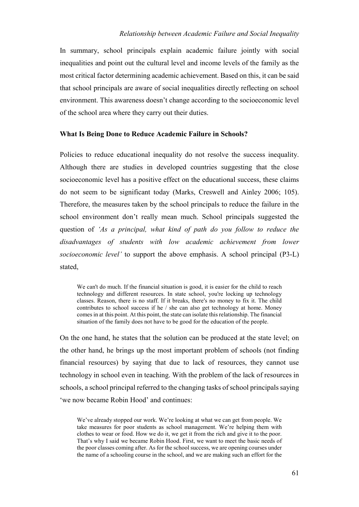In summary, school principals explain academic failure jointly with social inequalities and point out the cultural level and income levels of the family as the most critical factor determining academic achievement. Based on this, it can be said that school principals are aware of social inequalities directly reflecting on school environment. This awareness doesn't change according to the socioeconomic level of the school area where they carry out their duties.

### **What Is Being Done to Reduce Academic Failure in Schools?**

Policies to reduce educational inequality do not resolve the success inequality. Although there are studies in developed countries suggesting that the close socioeconomic level has a positive effect on the educational success, these claims do not seem to be significant today (Marks, Creswell and Ainley 2006; 105). Therefore, the measures taken by the school principals to reduce the failure in the school environment don't really mean much. School principals suggested the question of *'As a principal, what kind of path do you follow to reduce the disadvantages of students with low academic achievement from lower socioeconomic level'* to support the above emphasis. A school principal (P3-L) stated,

We can't do much. If the financial situation is good, it is easier for the child to reach technology and different resources. In state school, you're locking up technology classes. Reason, there is no staff. If it breaks, there's no money to fix it. The child contributes to school success if he  $/$  she can also get technology at home. Money comes in at this point. At this point, the state can isolate this relationship. The financial situation of the family does not have to be good for the education of the people.

On the one hand, he states that the solution can be produced at the state level; on the other hand, he brings up the most important problem of schools (not finding financial resources) by saying that due to lack of resources, they cannot use technology in school even in teaching. With the problem of the lack of resources in schools, a school principal referred to the changing tasks of school principals saying 'we now became Robin Hood' and continues:

We've already stopped our work. We're looking at what we can get from people. We take measures for poor students as school management. We're helping them with clothes to wear or food. How we do it, we get it from the rich and give it to the poor. That's why I said we became Robin Hood. First, we want to meet the basic needs of the poor classes coming after. As for the school success, we are opening courses under the name of a schooling course in the school, and we are making such an effort for the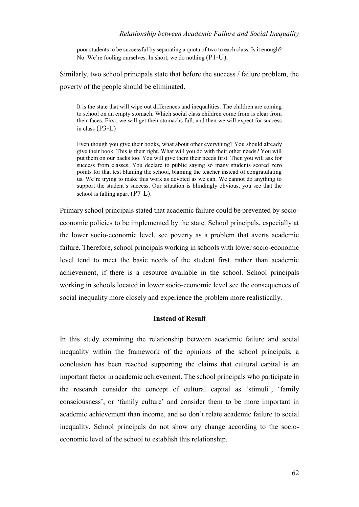poor students to be successful by separating a quota of two to each class. Is it enough? No. We're fooling ourselves. In short, we do nothing (P1-U).

Similarly, two school principals state that before the success / failure problem, the poverty of the people should be eliminated.

It is the state that will wipe out differences and inequalities. The children are coming to school on an empty stomach. Which social class children come from is clear from their faces. First, we will get their stomachs full, and then we will expect for success in class (P3-L)

Even though you give their books, what about other everything? You should already give their book. This is their right. What will you do with their other needs? You will put them on our backs too. You will give them their needs first. Then you will ask for success from classes. You declare to public saying so many students scored zero points for that test blaming the school, blaming the teacher instead of congratulating us. We're trying to make this work as devoted as we can. We cannot do anything to support the student's success. Our situation is blindingly obvious, you see that the school is falling apart (P7-L).

Primary school principals stated that academic failure could be prevented by socioeconomic policies to be implemented by the state. School principals, especially at the lower socio-economic level, see poverty as a problem that averts academic failure. Therefore, school principals working in schools with lower socio-economic level tend to meet the basic needs of the student first, rather than academic achievement, if there is a resource available in the school. School principals working in schools located in lower socio-economic level see the consequences of social inequality more closely and experience the problem more realistically.

# **Instead of Result**

In this study examining the relationship between academic failure and social inequality within the framework of the opinions of the school principals, a conclusion has been reached supporting the claims that cultural capital is an important factor in academic achievement. The school principals who participate in the research consider the concept of cultural capital as 'stimuli', 'family consciousness', or 'family culture' and consider them to be more important in academic achievement than income, and so don't relate academic failure to social inequality. School principals do not show any change according to the socioeconomic level of the school to establish this relationship.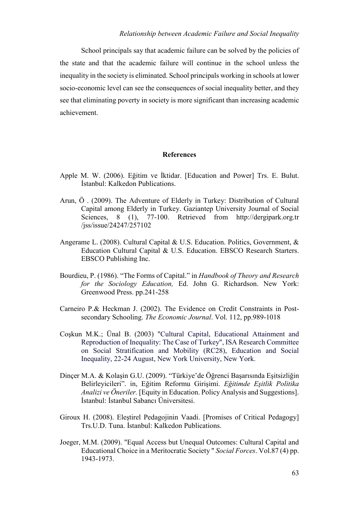School principals say that academic failure can be solved by the policies of the state and that the academic failure will continue in the school unless the inequality in the society is eliminated. School principals working in schools at lower socio-economic level can see the consequences of social inequality better, and they see that eliminating poverty in society is more significant than increasing academic achievement.

# **References**

- Apple M. W. (2006). Eğitim ve İktidar. [Education and Power] Trs. E. Bulut. İstanbul: Kalkedon Publications.
- Arun, Ö . (2009). The Adventure of Elderly in Turkey: Distribution of Cultural Capital among Elderly in Turkey. Gaziantep University Journal of Social Sciences, 8 (1), 77-100. Retrieved from http://dergipark.org.tr /jss/issue/24247/257102
- Angerame L. (2008). Cultural Capital & U.S. Education. Politics, Government, & Education Cultural Capital & U.S. Education. EBSCO Research Starters. EBSCO Publishing Inc.
- Bourdieu, P. (1986). "The Forms of Capital." in *Handbook of Theory and Research for the Sociology Education,* Ed. John G. Richardson. New York: Greenwood Press. pp.241-258
- Carneiro P.& Heckman J. (2002). The Evidence on Credit Constraints in Postsecondary Schooling. *The Economic Journal*. Vol. 112, pp.989-1018
- Coşkun M.K.; Ünal B. (2003) "Cultural Capital, Educational Attainment and Reproduction of Inequality: The Case of Turkey", ISA Research Committee on Social Stratification and Mobility (RC28), Education and Social Inequality, 22-24 August, New York University, New York.
- Dinçer M.A. & Kolaşin G.U. (2009). "Türkiye'de Öğrenci Başarısında Eşitsizliğin Belirleyicileri". in, Eğitim Reformu Girişimi. *Eğitimde Eşitlik Politika Analizi ve Öneriler.* [Equity in Education. Policy Analysis and Suggestions]. İstanbul: İstanbul Sabancı Üniversitesi.
- Giroux H. (2008). Eleştirel Pedagojinin Vaadi. [Promises of Critical Pedagogy] Trs.U.D. Tuna. İstanbul: Kalkedon Publications.
- Joeger, M.M. (2009). "Equal Access but Unequal Outcomes: Cultural Capital and Educational Choice in a Meritocratic Society " *Social Forces*. Vol.87 (4) pp. 1943-1973.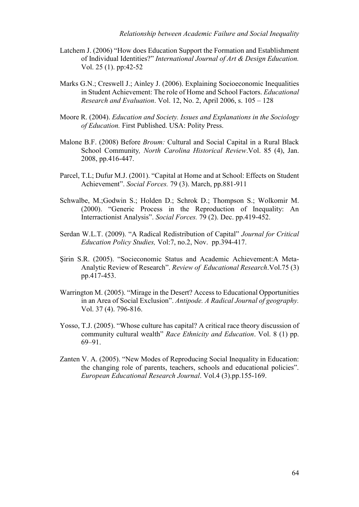- Latchem J. (2006) "How does Education Support the Formation and Establishment of Individual Identities?" *International Journal of Art & Design Education.*  Vol. 25 (1). pp:42-52
- Marks G.N.; Creswell J.; Ainley J. (2006). Explaining Socioeconomic Inequalities in Student Achievement: The role of Home and School Factors. *Educational Research and Evaluation*. Vol. 12, No. 2, April 2006, s. 105 – 128
- Moore R. (2004). *Education and Society. Issues and Explanations in the Sociology of Education.* First Published. USA: Polity Press.
- Malone B.F. (2008) Before *Broum:* Cultural and Social Capital in a Rural Black School Community*, North Carolina Historical Review*.Vol. 85 (4), Jan. 2008, pp.416-447.
- Parcel, T.L; Dufur M.J. (2001). "Capital at Home and at School: Effects on Student Achievement". *Social Forces.* 79 (3). March, pp.881-911
- Schwalbe, M.;Godwin S.; Holden D.; Schrok D.; Thompson S.; Wolkomir M. (2000). "Generic Process in the Reproduction of Inequality: An Interractionist Analysis". *Social Forces.* 79 (2). Dec. pp.419-452.
- Serdan W.L.T. (2009). "A Radical Redistribution of Capital" *Journal for Critical Education Policy Studies,* Vol:7, no.2, Nov. pp.394-417.
- Şirin S.R. (2005). "Socieconomic Status and Academic Achievement:A Meta-Analytic Review of Research". *Review of Educational Research*.Vol.75 (3) pp.417-453.
- Warrington M. (2005). "Mirage in the Desert? Access to Educational Opportunities in an Area of Social Exclusion". *Antipode. A Radical Journal of geography.*  Vol. 37 (4). 796-816.
- Yosso, T.J. (2005). "Whose culture has capital? A critical race theory discussion of community cultural wealth" *Race Ethnicity and Education*. Vol. 8 (1) pp. 69–91.
- Zanten V. A. (2005). "New Modes of Reproducing Social Inequality in Education: the changing role of parents, teachers, schools and educational policies". *European Educational Research Journal*. Vol.4 (3).pp.155-169.